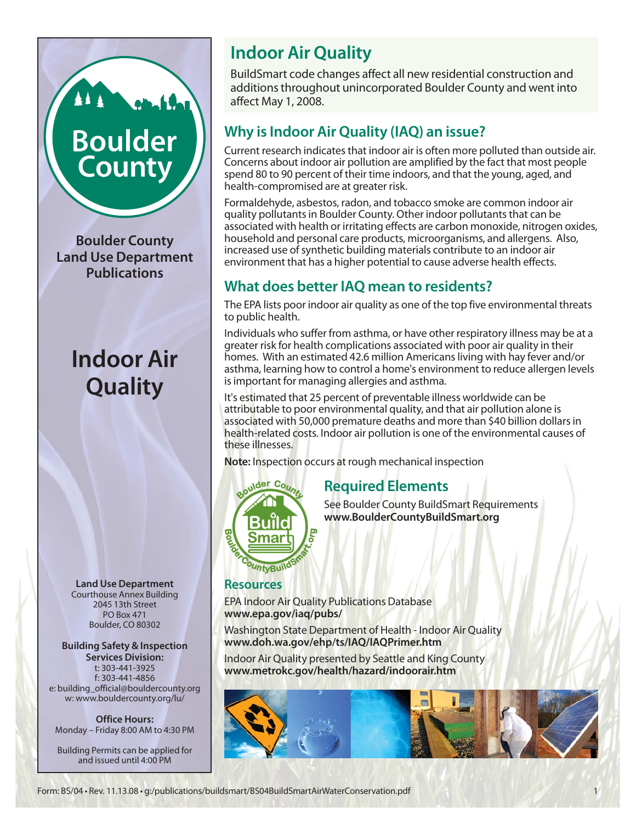## **Indoor Air Quality**

BuildSmart code changes affect all new residential construction and additions throughout unincorporated Boulder County and went into affect May 1, 2008.

## **Why is Indoor Air Quality (IAQ) an issue?**

Current research indicates that indoor air is often more polluted than outside air. Concerns about indoor air pollution are amplified by the fact that most people spend 80 to 90 percent of their time indoors, and that the young, aged, and health-compromised are at greater risk.

Formaldehyde, asbestos, radon, and tobacco smoke are common indoor air quality pollutants in Boulder County. Other indoor pollutants that can be associated with health or irritating effects are carbon monoxide, nitrogen oxides, household and personal care products, microorganisms, and allergens. Also, increased use of synthetic building materials contribute to an indoor air environment that has a higher potential to cause adverse health effects.

## **What does better IAQ mean to residents?**

The EPA lists poor indoor air quality as one of the top five environmental threats to public health.

Individuals who suffer from asthma, or have other respiratory illness may be at a greater risk for health complications associated with poor air quality in their homes. With an estimated 42.6 million Americans living with hay fever and/or asthma, learning how to control a home's environment to reduce allergen levels is important for managing allergies and asthma.

It's estimated that 25 percent of preventable illness worldwide can be attributable to poor environmental quality, and that air pollution alone is associated with 50,000 premature deaths and more than \$40 billion dollars in health-related costs. Indoor air pollution is one of the environmental causes of these illnesses.

**Note:** Inspection occurs at rough mechanical inspection



## **Required Elements**

See Boulder County BuildSmart Requirements **www.BoulderCountyBuildSmart.org**

### **Resources**

EPA Indoor Air Quality Publications Database **www.epa.gov/iaq/pubs/**

Washington State Department of Health - Indoor Air Quality **www.doh.wa.gov/ehp/ts/IAQ/IAQPrimer.htm**

Indoor Air Quality presented by Seattle and King County **www.metrokc.gov/health/hazard/indoorair.htm**



**Boulder County Land Use Department Publications**

**Boulder** 

**County** 

**Indoor Air Quality**

**Land Use Department** Courthouse Annex Building 2045 13th Street PO Box 471 Boulder, CO 80302

**Building Safety & Inspection Services Division:**

t: 303-441-3925 f: 303-441-4856 e: building\_official@bouldercounty.org w: www.bouldercounty.org/lu/

**Office Hours:** Monday – Friday 8:00 AM to 4:30 PM

Building Permits can be applied for and issued until 4:00 PM